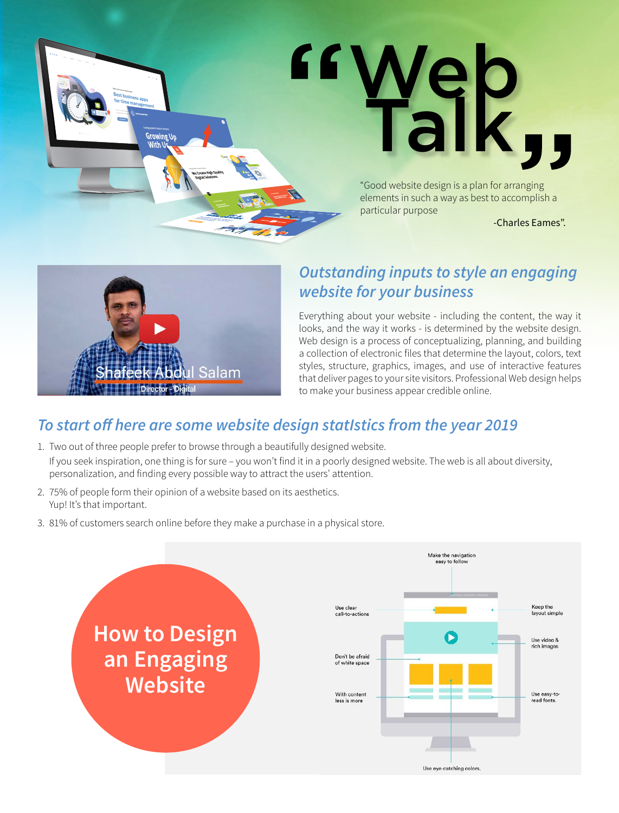



# *Outstanding inputs to style an engaging website for your business*

Everything about your website - including the content, the way it looks, and the way it works - is determined by the website design. Web design is a process of conceptualizing, planning, and building a collection of electronic files that determine the layout, colors, text styles, structure, graphics, images, and use of interactive features that deliver pages to your site visitors. Professional Web design helps to make your business appear credible online.

# *To start off here are some website design statIstics from the year 2019*

- 1. Two out of three people prefer to browse through a beautifully designed website. If you seek inspiration, one thing is for sure – you won't find it in a poorly designed website. The web is all about diversity, personalization, and finding every possible way to attract the users' attention.
- 2. 75% of people form their opinion of a website based on its aesthetics. Yup! It's that important.
- 3. 81% of customers search online before they make a purchase in a physical store.